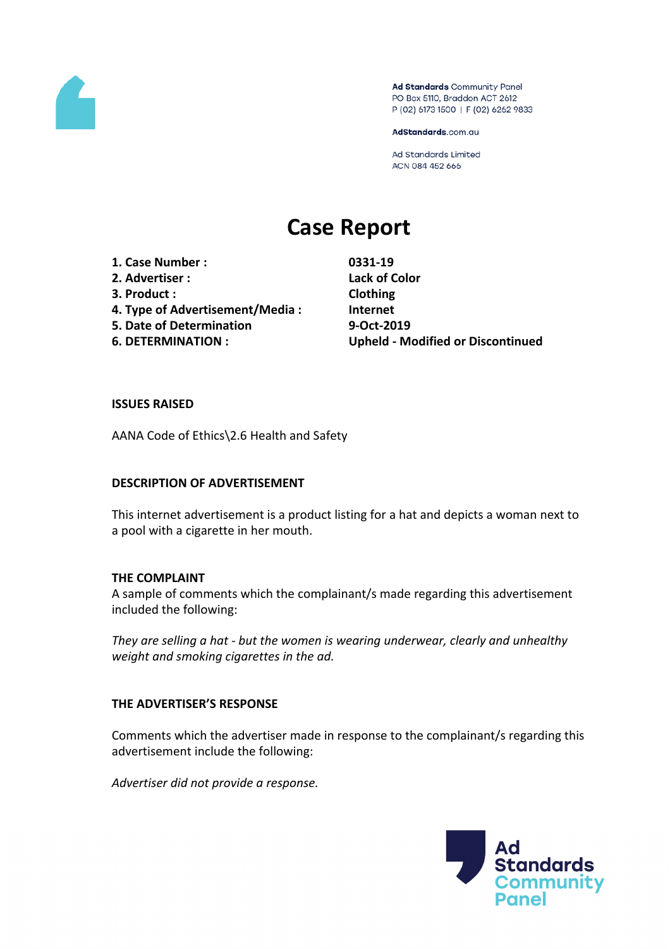

Ad Standards Community Panel PO Box 5110, Braddon ACT 2612 P (02) 6173 1500 | F (02) 6262 9833

AdStandards.com.au

Ad Standards Limited ACN 084 452 666

# **Case Report**

- **1. Case Number : 0331-19**
- 
- **3. Product : Clothing**
- **4. Type of Advertisement/Media : Internet**
- **5. Date of Determination 9-Oct-2019**
- 

**2. Advertiser : Lack of Color 6. DETERMINATION : Upheld - Modified or Discontinued**

#### **ISSUES RAISED**

AANA Code of Ethics\2.6 Health and Safety

## **DESCRIPTION OF ADVERTISEMENT**

This internet advertisement is a product listing for a hat and depicts a woman next to a pool with a cigarette in her mouth.

## **THE COMPLAINT**

A sample of comments which the complainant/s made regarding this advertisement included the following:

*They are selling a hat - but the women is wearing underwear, clearly and unhealthy weight and smoking cigarettes in the ad.*

## **THE ADVERTISER'S RESPONSE**

Comments which the advertiser made in response to the complainant/s regarding this advertisement include the following:

*Advertiser did not provide a response.*

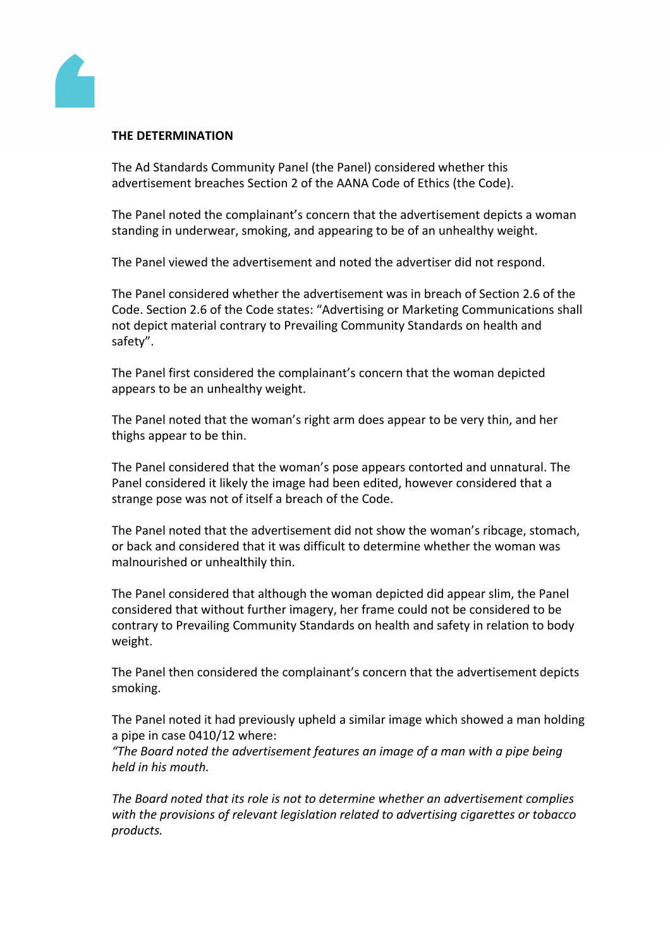

#### **THE DETERMINATION**

The Ad Standards Community Panel (the Panel) considered whether this advertisement breaches Section 2 of the AANA Code of Ethics (the Code).

The Panel noted the complainant's concern that the advertisement depicts a woman standing in underwear, smoking, and appearing to be of an unhealthy weight.

The Panel viewed the advertisement and noted the advertiser did not respond.

The Panel considered whether the advertisement was in breach of Section 2.6 of the Code. Section 2.6 of the Code states: "Advertising or Marketing Communications shall not depict material contrary to Prevailing Community Standards on health and safety".

The Panel first considered the complainant's concern that the woman depicted appears to be an unhealthy weight.

The Panel noted that the woman's right arm does appear to be very thin, and her thighs appear to be thin.

The Panel considered that the woman's pose appears contorted and unnatural. The Panel considered it likely the image had been edited, however considered that a strange pose was not of itself a breach of the Code.

The Panel noted that the advertisement did not show the woman's ribcage, stomach, or back and considered that it was difficult to determine whether the woman was malnourished or unhealthily thin.

The Panel considered that although the woman depicted did appear slim, the Panel considered that without further imagery, her frame could not be considered to be contrary to Prevailing Community Standards on health and safety in relation to body weight.

The Panel then considered the complainant's concern that the advertisement depicts smoking.

The Panel noted it had previously upheld a similar image which showed a man holding a pipe in case 0410/12 where:

*"The Board noted the advertisement features an image of a man with a pipe being held in his mouth.*

*The Board noted that its role is not to determine whether an advertisement complies with the provisions of relevant legislation related to advertising cigarettes or tobacco products.*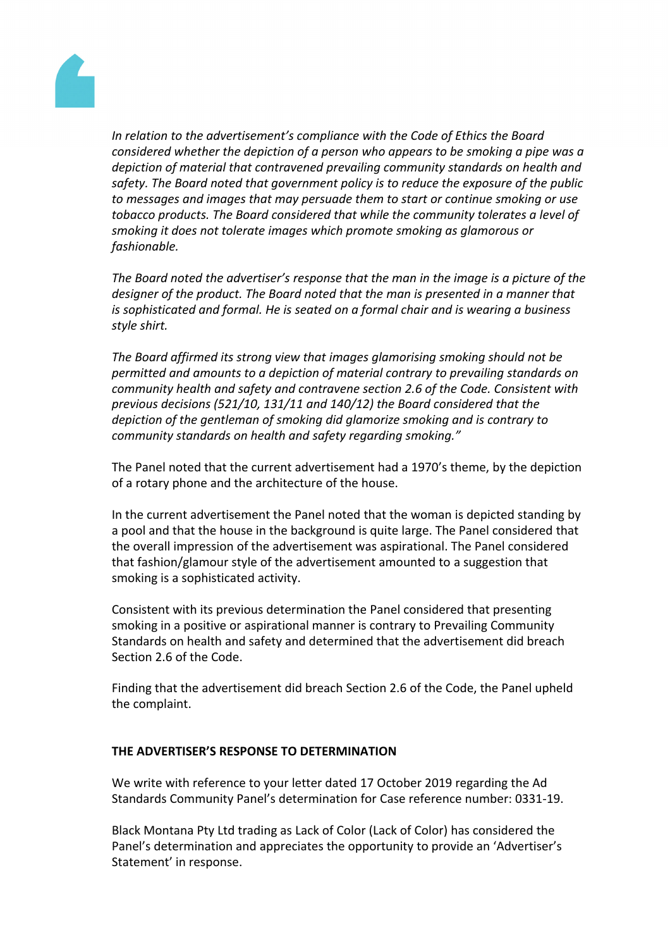

*In relation to the advertisement's compliance with the Code of Ethics the Board considered whether the depiction of a person who appears to be smoking a pipe was a depiction of material that contravened prevailing community standards on health and safety. The Board noted that government policy is to reduce the exposure of the public to messages and images that may persuade them to start or continue smoking or use tobacco products. The Board considered that while the community tolerates a level of smoking it does not tolerate images which promote smoking as glamorous or fashionable.*

*The Board noted the advertiser's response that the man in the image is a picture of the designer of the product. The Board noted that the man is presented in a manner that is sophisticated and formal. He is seated on a formal chair and is wearing a business style shirt.*

*The Board affirmed its strong view that images glamorising smoking should not be permitted and amounts to a depiction of material contrary to prevailing standards on community health and safety and contravene section 2.6 of the Code. Consistent with previous decisions (521/10, 131/11 and 140/12) the Board considered that the depiction of the gentleman of smoking did glamorize smoking and is contrary to community standards on health and safety regarding smoking."*

The Panel noted that the current advertisement had a 1970's theme, by the depiction of a rotary phone and the architecture of the house.

In the current advertisement the Panel noted that the woman is depicted standing by a pool and that the house in the background is quite large. The Panel considered that the overall impression of the advertisement was aspirational. The Panel considered that fashion/glamour style of the advertisement amounted to a suggestion that smoking is a sophisticated activity.

Consistent with its previous determination the Panel considered that presenting smoking in a positive or aspirational manner is contrary to Prevailing Community Standards on health and safety and determined that the advertisement did breach Section 2.6 of the Code.

Finding that the advertisement did breach Section 2.6 of the Code, the Panel upheld the complaint.

## **THE ADVERTISER'S RESPONSE TO DETERMINATION**

We write with reference to your letter dated 17 October 2019 regarding the Ad Standards Community Panel's determination for Case reference number: 0331-19.

Black Montana Pty Ltd trading as Lack of Color (Lack of Color) has considered the Panel's determination and appreciates the opportunity to provide an 'Advertiser's Statement' in response.